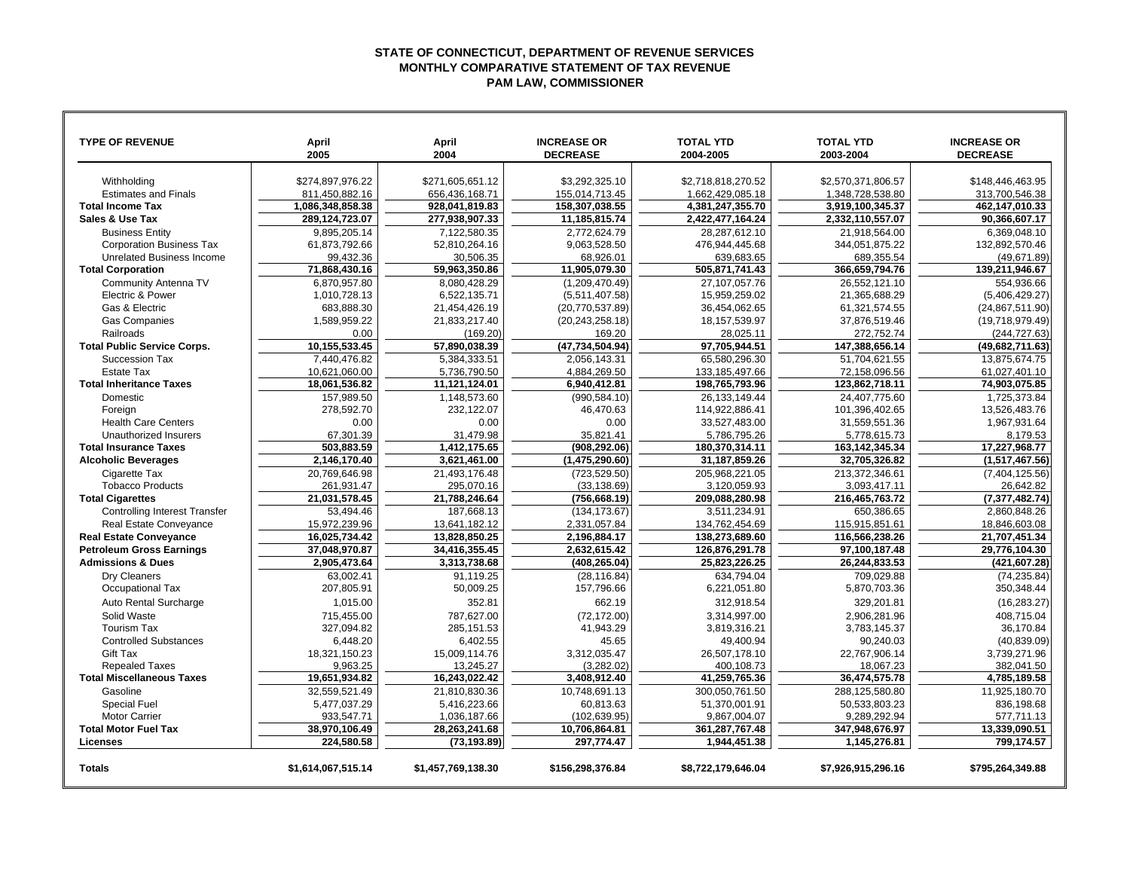## **STATE OF CONNECTICUT, DEPARTMENT OF REVENUE SERVICES MONTHLY COMPARATIVE STATEMENT OF TAX REVENUE PAM LAW, COMMISSIONER**

| <b>TYPE OF REVENUE</b>                      | April<br>2005               | April<br>2004                 | <b>INCREASE OR</b><br><b>DECREASE</b> | <b>TOTAL YTD</b><br>2004-2005  | <b>TOTAL YTD</b><br>2003-2004  | <b>INCREASE OR</b><br><b>DECREASE</b> |
|---------------------------------------------|-----------------------------|-------------------------------|---------------------------------------|--------------------------------|--------------------------------|---------------------------------------|
| Withholding                                 | \$274,897,976.22            | \$271,605,651.12              | \$3,292,325.10                        | \$2,718,818,270.52             | \$2,570,371,806.57             | \$148,446,463.95                      |
| <b>Estimates and Finals</b>                 | 811.450.882.16              | 656.436.168.71                | 155.014.713.45                        | 1,662,429,085.18               | 1,348,728,538.80               | 313.700.546.38                        |
| <b>Total Income Tax</b>                     | 1,086,348,858.38            | 928.041.819.83                | 158,307,038.55                        | 4,381,247,355.70               | 3,919,100,345.37               | 462,147,010.33                        |
| Sales & Use Tax                             | 289,124,723.07              | 277,938,907.33                | 11,185,815.74                         | 2,422,477,164.24               | 2,332,110,557.07               | 90,366,607.17                         |
| <b>Business Entity</b>                      | 9,895,205.14                | 7,122,580.35                  | 2,772,624.79                          | 28,287,612.10                  | 21,918,564.00                  | 6,369,048.10                          |
| <b>Corporation Business Tax</b>             | 61,873,792.66               | 52.810.264.16                 | 9.063.528.50                          | 476,944,445.68                 | 344,051,875.22                 | 132,892,570.46                        |
| <b>Unrelated Business Income</b>            | 99,432.36                   | 30,506.35                     | 68.926.01                             | 639,683.65                     | 689,355.54                     | (49, 671.89)                          |
| <b>Total Corporation</b>                    | 71,868,430.16               | 59,963,350.86                 | 11,905,079.30                         | 505,871,741.43                 | 366,659,794.76                 | 139,211,946.67                        |
| Community Antenna TV                        | 6,870,957.80                | 8,080,428.29                  | (1,209,470.49)                        | 27,107,057.76                  | 26,552,121.10                  | 554,936.66                            |
| Electric & Power                            | 1,010,728.13                | 6.522.135.71                  | (5,511,407.58)                        | 15.959.259.02                  | 21.365.688.29                  | (5,406,429.27)                        |
| Gas & Electric                              | 683,888.30                  | 21,454,426.19                 | (20, 770, 537.89)                     | 36,454,062.65                  | 61,321,574.55                  | (24, 867, 511.90)                     |
| <b>Gas Companies</b>                        | 1,589,959.22                | 21,833,217.40                 | (20, 243, 258.18)                     | 18, 157, 539. 97               | 37,876,519.46                  | (19,718,979.49)                       |
| Railroads                                   | 0.00                        | (169.20)                      | 169.20                                | 28,025.11                      | 272,752.74                     | (244, 727.63)                         |
| <b>Total Public Service Corps.</b>          | 10,155,533.45               | 57,890,038.39                 | (47,734,504.94)                       | 97,705,944.51                  | 147,388,656.14                 | (49,682,711.63)                       |
| Succession Tax                              | 7,440,476.82                | 5,384,333.51                  | 2,056,143.31                          | 65.580.296.30                  | 51,704,621.55                  | 13,875,674.75                         |
| <b>Estate Tax</b>                           | 10,621,060.00               | 5,736,790.50                  | 4.884.269.50                          | 133, 185, 497.66               | 72,158,096.56                  | 61,027,401.10                         |
| <b>Total Inheritance Taxes</b>              | 18,061,536.82               | 11,121,124.01                 | 6,940,412.81                          | 198,765,793.96                 | 123,862,718.11                 | 74,903,075.85                         |
| Domestic                                    | 157,989.50                  | 1,148,573.60                  | (990, 584.10)                         | 26, 133, 149. 44               | 24,407,775.60                  | 1,725,373.84                          |
| Foreian                                     | 278.592.70                  | 232,122.07                    | 46.470.63                             | 114,922,886.41                 | 101,396,402.65                 | 13,526,483.76                         |
| <b>Health Care Centers</b>                  | 0.00                        | 0.00                          | 0.00                                  | 33,527,483.00                  | 31,559,551.36                  | 1,967,931.64                          |
| Unauthorized Insurers                       | 67,301.39                   | 31,479.98                     | 35,821.41                             | 5,786,795.26                   | 5,778,615.73                   | 8,179.53                              |
| <b>Total Insurance Taxes</b>                | 503,883.59                  | 1,412,175.65                  | (908, 292.06)                         | 180,370,314.11                 | 163, 142, 345. 34              | 17,227,968.77                         |
| <b>Alcoholic Beverages</b>                  | 2.146.170.40                | 3.621.461.00                  | (1.475.290.60)                        | 31.187.859.26                  | 32.705.326.82                  | (1.517.467.56)                        |
| Cigarette Tax                               | 20.769.646.98               | 21.493.176.48                 | (723, 529.50)                         | 205.968.221.05                 | 213.372.346.61                 | (7,404,125.56)                        |
| <b>Tobacco Products</b>                     | 261,931.47                  | 295,070.16                    | (33, 138.69)                          | 3,120,059.93                   | 3,093,417.11                   | 26,642.82                             |
| <b>Total Cigarettes</b>                     | 21,031,578.45               | 21,788,246.64                 | (756, 668.19)                         | 209,088,280.98                 | 216,465,763.72                 | (7, 377, 482.74)                      |
| <b>Controlling Interest Transfer</b>        | 53,494.46                   | 187.668.13                    | (134, 173.67)                         | 3.511.234.91                   | 650.386.65                     | 2.860.848.26                          |
| Real Estate Conveyance                      | 15.972.239.96               | 13.641.182.12                 | 2.331.057.84                          | 134.762.454.69                 | 115.915.851.61                 | 18.846.603.08                         |
| <b>Real Estate Conveyance</b>               | 16,025,734.42               | 13,828,850.25                 | 2,196,884.17                          | 138,273,689.60                 | 116,566,238.26                 | 21,707,451.34                         |
| <b>Petroleum Gross Earnings</b>             | 37,048,970.87               | 34,416,355.45                 | 2,632,615.42                          | 126,876,291.78                 | 97,100,187.48                  | 29,776,104.30                         |
| <b>Admissions &amp; Dues</b>                | 2,905,473.64                | 3,313,738.68                  | (408, 265.04)                         | 25,823,226.25                  | 26,244,833.53                  | (421, 607.28)                         |
| <b>Drv Cleaners</b>                         | 63.002.41                   | 91.119.25                     | (28.116.84)                           | 634.794.04                     | 709.029.88                     | (74.235.84)                           |
| Occupational Tax                            | 207,805.91                  | 50,009.25                     | 157,796.66                            | 6,221,051.80                   | 5,870,703.36                   | 350,348.44                            |
| Auto Rental Surcharge                       | 1.015.00                    | 352.81                        | 662.19                                | 312,918.54                     | 329,201.81                     | (16, 283.27)                          |
| Solid Waste                                 | 715,455.00                  | 787,627.00                    | (72, 172.00)                          | 3,314,997.00                   | 2,906,281.96                   | 408,715.04                            |
| Tourism Tax                                 | 327,094.82                  | 285,151.53                    | 41,943.29                             | 3,819,316.21                   | 3,783,145.37                   | 36,170.84                             |
| <b>Controlled Substances</b>                | 6,448.20                    | 6,402.55                      | 45.65                                 | 49,400.94                      | 90,240.03                      | (40, 839.09)                          |
| <b>Gift Tax</b>                             | 18,321,150.23               | 15,009,114.76                 | 3,312,035.47                          | 26,507,178.10                  | 22,767,906.14                  | 3,739,271.96                          |
| <b>Repealed Taxes</b>                       | 9,963.25                    | 13,245.27                     | (3,282.02)                            | 400,108.73                     | 18,067.23                      | 382,041.50                            |
| <b>Total Miscellaneous Taxes</b>            | 19,651,934.82               | 16,243,022.42                 | 3,408,912.40                          | 41,259,765.36                  | 36,474,575.78                  | 4,785,189.58                          |
| Gasoline                                    | 32.559.521.49               | 21.810.830.36                 | 10.748.691.13                         | 300.050.761.50                 | 288.125.580.80                 | 11.925.180.70                         |
| <b>Special Fuel</b><br><b>Motor Carrier</b> | 5.477.037.29                | 5,416,223.66                  | 60.813.63                             | 51.370.001.91                  | 50.533.803.23                  | 836,198.68                            |
| <b>Total Motor Fuel Tax</b>                 | 933,547.71<br>38,970,106.49 | 1,036,187.66<br>28,263,241.68 | (102, 639.95)<br>10,706,864.81        | 9,867,004.07<br>361,287,767.48 | 9,289,292.94<br>347,948,676.97 | 577,711.13<br>13,339,090.51           |
| Licenses                                    | 224.580.58                  | (73, 193.89)                  | 297.774.47                            | 1,944,451.38                   | 1,145,276.81                   | 799.174.57                            |
|                                             |                             |                               |                                       |                                |                                |                                       |
| <b>Totals</b>                               | \$1,614,067,515.14          | \$1,457,769,138.30            | \$156,298,376.84                      | \$8,722,179,646.04             | \$7,926,915,296.16             | \$795,264,349.88                      |